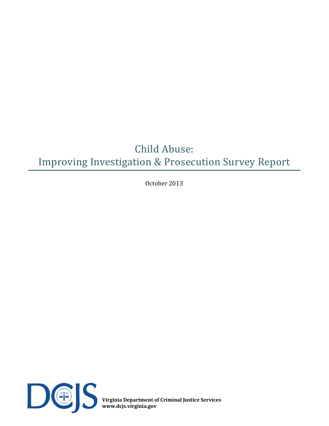# Child Abuse: Improving Investigation & Prosecution Survey Report

October 2013



**Virginia Department of Criminal Justice Services www.dcjs.virginia.gov**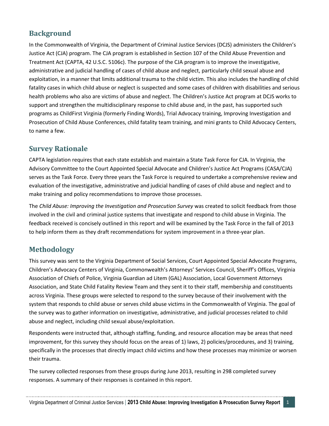### **Background**

In the Commonwealth of Virginia, the Department of Criminal Justice Services (DCJS) administers the Children's Justice Act (CJA) program. The CJA program is established in Section 107 of the Child Abuse Prevention and Treatment Act (CAPTA, 42 U.S.C. 5106c). The purpose of the CJA program is to improve the investigative, administrative and judicial handling of cases of child abuse and neglect, particularly child sexual abuse and exploitation, in a manner that limits additional trauma to the child victim. This also includes the handling of child fatality cases in which child abuse or neglect is suspected and some cases of children with disabilities and serious health problems who also are victims of abuse and neglect. The Children's Justice Act program at DCJS works to support and strengthen the multidisciplinary response to child abuse and, in the past, has supported such programs as ChildFirst Virginia (formerly Finding Words), Trial Advocacy training, Improving Investigation and Prosecution of Child Abuse Conferences, child fatality team training, and mini grants to Child Advocacy Centers, to name a few.

### **Survey Rationale**

CAPTA legislation requires that each state establish and maintain a State Task Force for CJA. In Virginia, the Advisory Committee to the Court Appointed Special Advocate and Children's Justice Act Programs (CASA/CJA) serves as the Task Force. Every three years the Task Force is required to undertake a comprehensive review and evaluation of the investigative, administrative and judicial handling of cases of child abuse and neglect and to make training and policy recommendations to improve those processes.

The *Child Abuse: Improving the Investigation and Prosecution Survey* was created to solicit feedback from those involved in the civil and criminal justice systems that investigate and respond to child abuse in Virginia. The feedback received is concisely outlined in this report and will be examined by the Task Force in the fall of 2013 to help inform them as they draft recommendations for system improvement in a three-year plan.

### **Methodology**

This survey was sent to the Virginia Department of Social Services, Court Appointed Special Advocate Programs, Children's Advocacy Centers of Virginia, Commonwealth's Attorneys' Services Council, Sheriff's Offices, Virginia Association of Chiefs of Police, Virginia Guardian ad Litem (GAL) Association, Local Government Attorneys Association, and State Child Fatality Review Team and they sent it to their staff, membership and constituents across Virginia. These groups were selected to respond to the survey because of their involvement with the system that responds to child abuse or serves child abuse victims in the Commonwealth of Virginia. The goal of the survey was to gather information on investigative, administrative, and judicial processes related to child abuse and neglect, including child sexual abuse/exploitation.

Respondents were instructed that, although staffing, funding, and resource allocation may be areas that need improvement, for this survey they should focus on the areas of 1) laws, 2) policies/procedures, and 3) training, specifically in the processes that directly impact child victims and how these processes may minimize or worsen their trauma.

The survey collected responses from these groups during June 2013, resulting in 298 completed survey responses. A summary of their responses is contained in this report.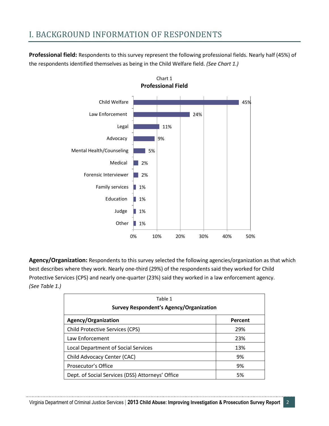## I. BACKGROUND INFORMATION OF RESPONDENTS

**Professional field:** Respondents to this survey represent the following professional fields. Nearly half (45%) of the respondents identified themselves as being in the Child Welfare field. *(See Chart 1.)*



**Agency/Organization:** Respondents to this survey selected the following agencies/organization as that which best describes where they work. Nearly one-third (29%) of the respondents said they worked for Child Protective Services (CPS) and nearly one-quarter (23%) said they worked in a law enforcement agency. *(See Table 1.)*

| Table 1<br><b>Survey Respondent's Agency/Organization</b> |         |  |
|-----------------------------------------------------------|---------|--|
| Agency/Organization                                       | Percent |  |
| <b>Child Protective Services (CPS)</b>                    | 29%     |  |
| Law Enforcement                                           | 23%     |  |
| <b>Local Department of Social Services</b>                | 13%     |  |
| Child Advocacy Center (CAC)                               | 9%      |  |
| Prosecutor's Office                                       | 9%      |  |
| Dept. of Social Services (DSS) Attorneys' Office          | 5%      |  |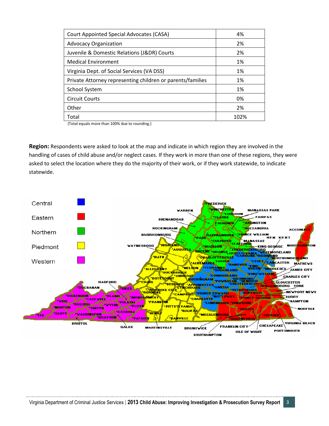| Court Appointed Special Advocates (CASA)                   | 4%   |
|------------------------------------------------------------|------|
| <b>Advocacy Organization</b>                               | 2%   |
| Juvenile & Domestic Relations (J&DR) Courts                | 2%   |
| <b>Medical Environment</b>                                 | 1%   |
| Virginia Dept. of Social Services (VA DSS)                 | 1%   |
| Private Attorney representing children or parents/families | 1%   |
| <b>School System</b>                                       | 1%   |
| <b>Circuit Courts</b>                                      | 0%   |
| Other                                                      | 2%   |
| Total                                                      | 102% |

(Total equals more than 100% due to rounding.)

**Region:** Respondents were asked to look at the map and indicate in which region they are involved in the handling of cases of child abuse and/or neglect cases. If they work in more than one of these regions, they were asked to select the location where they do the majority of their work, or if they work statewide, to indicate statewide.

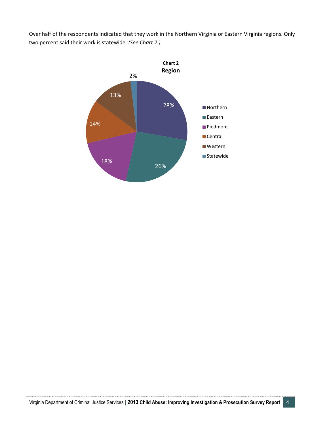Over half of the respondents indicated that they work in the Northern Virginia or Eastern Virginia regions. Only two percent said their work is statewide. *(See Chart 2.)*

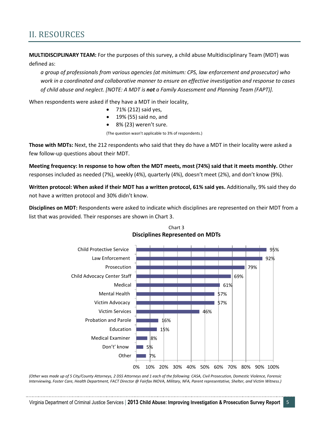### II. RESOURCES

**MULTIDISCIPLINARY TEAM:** For the purposes of this survey, a child abuse Multidisciplinary Team (MDT) was defined as:

*a group of professionals from various agencies (at minimum: CPS, law enforcement and prosecutor) who work in a coordinated and collaborative manner to ensure an effective investigation and response to cases of child abuse and neglect. [NOTE: A MDT is not a Family Assessment and Planning Team (FAPT)].*

When respondents were asked if they have a MDT in their locality,

- 71% (212) said yes,
- 19% (55) said no, and
- 8% (23) weren't sure.

(The question wasn't applicable to 3% of respondents.)

**Those with MDTs:** Next, the 212 respondents who said that they do have a MDT in their locality were asked a few follow-up questions about their MDT.

**Meeting frequency: In response to how often the MDT meets, most (74%) said that it meets monthly.** Other responses included as needed (7%), weekly (4%), quarterly (4%), doesn't meet (2%), and don't know (9%).

**Written protocol: When asked if their MDT has a written protocol, 61% said yes.** Additionally, 9% said they do not have a written protocol and 30% didn't know.

**Disciplines on MDT:** Respondents were asked to indicate which disciplines are represented on their MDT from a list that was provided. Their responses are shown in Chart 3.



Chart 3 **Disciplines Represented on MDTs**

*(Other was made up of 5 City/County Attorneys, 2 DSS Attorneys and 1 each of the following: CASA, Civil Prosecution, Domestic Violence, Forensic Interviewing, Foster Care, Health Department, FACT Director @ Fairfax INOVA, Military, NFA, Parent representative, Shelter, and Victim Witness.)*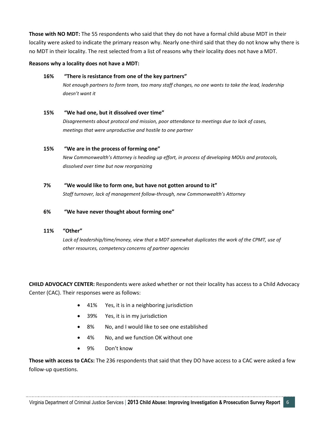**Those with NO MDT:** The 55 respondents who said that they do not have a formal child abuse MDT in their locality were asked to indicate the primary reason why. Nearly one-third said that they do not know why there is no MDT in their locality. The rest selected from a list of reasons why their locality does not have a MDT.

### **Reasons why a locality does not have a MDT:**

### **16% "There is resistance from one of the key partners"**

*Not enough partners to form team, too many staff changes, no one wants to take the lead, leadership doesn't want it*

### **15% "We had one, but it dissolved over time"**

*Disagreements about protocol and mission, poor attendance to meetings due to lack of cases, meetings that were unproductive and hostile to one partner*

### **15% "We are in the process of forming one"**

*New Commonwealth's Attorney is heading up effort, in process of developing MOUs and protocols, dissolved over time but now reorganizing*

### **7% "We would like to form one, but have not gotten around to it"**

*Staff turnover, lack of management follow-through, new Commonwealth's Attorney*

### **6% "We have never thought about forming one"**

### **11% "Other"**

Lack of leadership/time/money, view that a MDT somewhat duplicates the work of the CPMT, use of *other resources, competency concerns of partner agencies*

**CHILD ADVOCACY CENTER:** Respondents were asked whether or not their locality has access to a Child Advocacy Center (CAC). Their responses were as follows:

- 41% Yes, it is in a neighboring jurisdiction
- 39% Yes, it is in my jurisdiction
- 8% No, and I would like to see one established
- 4% No, and we function OK without one
- 9% Don't know

**Those with access to CACs:** The 236 respondents that said that they DO have access to a CAC were asked a few follow-up questions.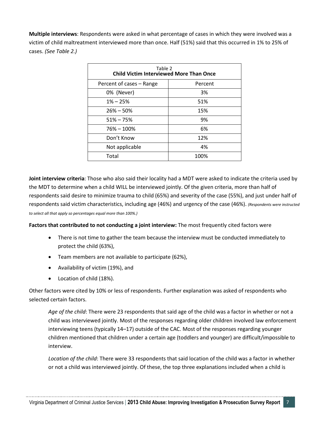**Multiple interviews**: Respondents were asked in what percentage of cases in which they were involved was a victim of child maltreatment interviewed more than once. Half (51%) said that this occurred in 1% to 25% of cases. *(See Table 2.)*

| Table 2<br><b>Child Victim Interviewed More Than Once</b> |         |  |
|-----------------------------------------------------------|---------|--|
| Percent of cases – Range                                  | Percent |  |
| 0% (Never)                                                | 3%      |  |
| $1\% - 25\%$                                              | 51%     |  |
| $26\% - 50\%$                                             | 15%     |  |
| $51\% - 75\%$                                             | 9%      |  |
| $76\% - 100\%$                                            | 6%      |  |
| Don't Know                                                | 12%     |  |
| Not applicable                                            | 4%      |  |
| Total                                                     | 100%    |  |

**Joint interview criteria**: Those who also said their locality had a MDT were asked to indicate the criteria used by the MDT to determine when a child WILL be interviewed jointly. Of the given criteria, more than half of respondents said desire to minimize trauma to child (65%) and severity of the case (55%), and just under half of respondents said victim characteristics, including age (46%) and urgency of the case (46%). *(Respondents were instructed to select all that apply so percentages equal more than 100%.)*

**Factors that contributed to not conducting a joint interview:** The most frequently cited factors were

- There is not time to gather the team because the interview must be conducted immediately to protect the child (63%),
- Team members are not available to participate (62%),
- Availability of victim (19%), and
- Location of child (18%).

Other factors were cited by 10% or less of respondents. Further explanation was asked of respondents who selected certain factors.

*Age of the child*: There were 23 respondents that said age of the child was a factor in whether or not a child was interviewed jointly. Most of the responses regarding older children involved law enforcement interviewing teens (typically 14–17) outside of the CAC. Most of the responses regarding younger children mentioned that children under a certain age (toddlers and younger) are difficult/impossible to interview.

*Location of the child*: There were 33 respondents that said location of the child was a factor in whether or not a child was interviewed jointly. Of these, the top three explanations included when a child is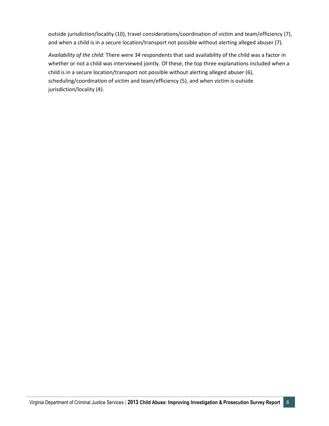outside jurisdiction/locality (10), travel considerations/coordination of victim and team/efficiency (7), and when a child is in a secure location/transport not possible without alerting alleged abuser (7).

*Availability of the child*: There were 34 respondents that said availability of the child was a factor in whether or not a child was interviewed jointly. Of these, the top three explanations included when a child is in a secure location/transport not possible without alerting alleged abuser (6), scheduling/coordination of victim and team/efficiency (5), and when victim is outside jurisdiction/locality (4).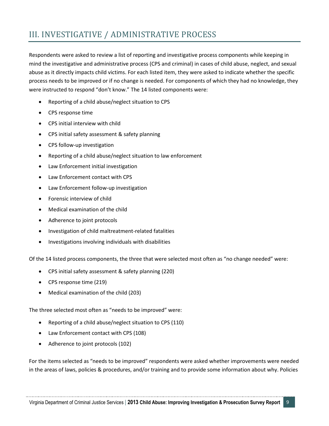# III. INVESTIGATIVE / ADMINISTRATIVE PROCESS

Respondents were asked to review a list of reporting and investigative process components while keeping in mind the investigative and administrative process (CPS and criminal) in cases of child abuse, neglect, and sexual abuse as it directly impacts child victims. For each listed item, they were asked to indicate whether the specific process needs to be improved or if no change is needed. For components of which they had no knowledge, they were instructed to respond "don't know." The 14 listed components were:

- Reporting of a child abuse/neglect situation to CPS
- CPS response time
- CPS initial interview with child
- CPS initial safety assessment & safety planning
- CPS follow-up investigation
- Reporting of a child abuse/neglect situation to law enforcement
- Law Enforcement initial investigation
- Law Enforcement contact with CPS
- Law Enforcement follow-up investigation
- Forensic interview of child
- Medical examination of the child
- Adherence to joint protocols
- Investigation of child maltreatment-related fatalities
- Investigations involving individuals with disabilities

Of the 14 listed process components, the three that were selected most often as "no change needed" were:

- CPS initial safety assessment & safety planning (220)
- CPS response time (219)
- Medical examination of the child (203)

The three selected most often as "needs to be improved" were:

- Reporting of a child abuse/neglect situation to CPS (110)
- Law Enforcement contact with CPS (108)
- Adherence to joint protocols (102)

For the items selected as "needs to be improved" respondents were asked whether improvements were needed in the areas of laws, policies & procedures, and/or training and to provide some information about why. Policies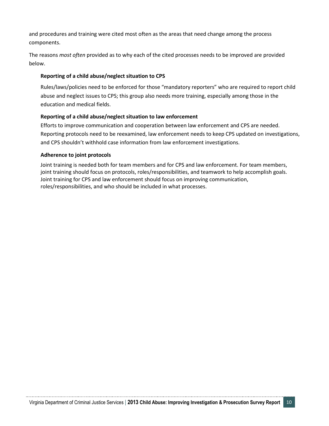and procedures and training were cited most often as the areas that need change among the process components.

The reasons *most often* provided as to why each of the cited processes needs to be improved are provided below.

### **Reporting of a child abuse/neglect situation to CPS**

Rules/laws/policies need to be enforced for those "mandatory reporters" who are required to report child abuse and neglect issues to CPS; this group also needs more training, especially among those in the education and medical fields.

### **Reporting of a child abuse/neglect situation to law enforcement**

Efforts to improve communication and cooperation between law enforcement and CPS are needed. Reporting protocols need to be reexamined, law enforcement needs to keep CPS updated on investigations, and CPS shouldn't withhold case information from law enforcement investigations.

### **Adherence to joint protocols**

Joint training is needed both for team members and for CPS and law enforcement. For team members, joint training should focus on protocols, roles/responsibilities, and teamwork to help accomplish goals. Joint training for CPS and law enforcement should focus on improving communication, roles/responsibilities, and who should be included in what processes.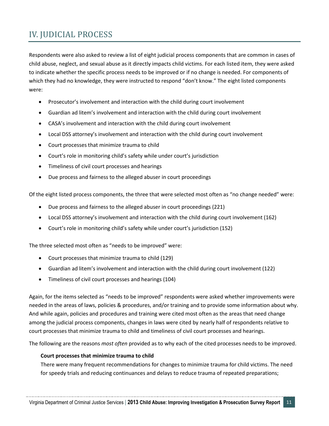# IV. JUDICIAL PROCESS

Respondents were also asked to review a list of eight judicial process components that are common in cases of child abuse, neglect, and sexual abuse as it directly impacts child victims. For each listed item, they were asked to indicate whether the specific process needs to be improved or if no change is needed. For components of which they had no knowledge, they were instructed to respond "don't know." The eight listed components were:

- Prosecutor's involvement and interaction with the child during court involvement
- Guardian ad litem's involvement and interaction with the child during court involvement
- CASA's involvement and interaction with the child during court involvement
- Local DSS attorney's involvement and interaction with the child during court involvement
- Court processes that minimize trauma to child
- Court's role in monitoring child's safety while under court's jurisdiction
- Timeliness of civil court processes and hearings
- Due process and fairness to the alleged abuser in court proceedings

Of the eight listed process components, the three that were selected most often as "no change needed" were:

- Due process and fairness to the alleged abuser in court proceedings (221)
- Local DSS attorney's involvement and interaction with the child during court involvement (162)
- Court's role in monitoring child's safety while under court's jurisdiction (152)

The three selected most often as "needs to be improved" were:

- Court processes that minimize trauma to child (129)
- Guardian ad litem's involvement and interaction with the child during court involvement (122)
- Timeliness of civil court processes and hearings (104)

Again, for the items selected as "needs to be improved" respondents were asked whether improvements were needed in the areas of laws, policies & procedures, and/or training and to provide some information about why. And while again, policies and procedures and training were cited most often as the areas that need change among the judicial process components, changes in laws were cited by nearly half of respondents relative to court processes that minimize trauma to child and timeliness of civil court processes and hearings.

The following are the reasons *most often* provided as to why each of the cited processes needs to be improved.

#### **Court processes that minimize trauma to child**

There were many frequent recommendations for changes to minimize trauma for child victims. The need for speedy trials and reducing continuances and delays to reduce trauma of repeated preparations;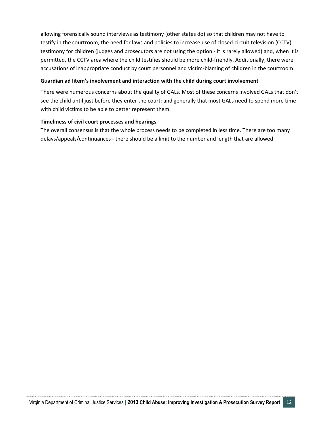allowing forensically sound interviews as testimony (other states do) so that children may not have to testify in the courtroom; the need for laws and policies to increase use of closed-circuit television (CCTV) testimony for children (judges and prosecutors are not using the option - it is rarely allowed) and, when it is permitted, the CCTV area where the child testifies should be more child-friendly. Additionally, there were accusations of inappropriate conduct by court personnel and victim-blaming of children in the courtroom.

### **Guardian ad litem's involvement and interaction with the child during court involvement**

There were numerous concerns about the quality of GALs. Most of these concerns involved GALs that don't see the child until just before they enter the court; and generally that most GALs need to spend more time with child victims to be able to better represent them.

### **Timeliness of civil court processes and hearings**

The overall consensus is that the whole process needs to be completed in less time. There are too many delays/appeals/continuances - there should be a limit to the number and length that are allowed.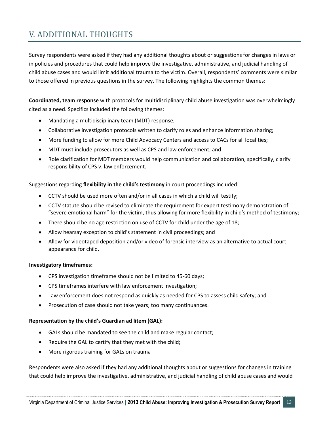# V. ADDITIONAL THOUGHTS

Survey respondents were asked if they had any additional thoughts about or suggestions for changes in laws or in policies and procedures that could help improve the investigative, administrative, and judicial handling of child abuse cases and would limit additional trauma to the victim. Overall, respondents' comments were similar to those offered in previous questions in the survey. The following highlights the common themes:

**Coordinated, team response** with protocols for multidisciplinary child abuse investigation was overwhelmingly cited as a need. Specifics included the following themes:

- Mandating a multidisciplinary team (MDT) response;
- Collaborative investigation protocols written to clarify roles and enhance information sharing;
- More funding to allow for more Child Advocacy Centers and access to CACs for all localities;
- MDT must include prosecutors as well as CPS and law enforcement; and
- Role clarification for MDT members would help communication and collaboration, specifically, clarify responsibility of CPS v. law enforcement.

Suggestions regarding **flexibility in the child's testimony** in court proceedings included:

- CCTV should be used more often and/or in all cases in which a child will testify;
- CCTV statute should be revised to eliminate the requirement for expert testimony demonstration of "severe emotional harm" for the victim, thus allowing for more flexibility in child's method of testimony;
- There should be no age restriction on use of CCTV for child under the age of 18;
- Allow hearsay exception to child's statement in civil proceedings; and
- Allow for videotaped deposition and/or video of forensic interview as an alternative to actual court appearance for child.

### **Investigatory timeframes:**

- CPS investigation timeframe should not be limited to 45-60 days;
- CPS timeframes interfere with law enforcement investigation;
- Law enforcement does not respond as quickly as needed for CPS to assess child safety; and
- Prosecution of case should not take years; too many continuances.

### **Representation by the child's Guardian ad litem (GAL):**

- GALs should be mandated to see the child and make regular contact;
- Require the GAL to certify that they met with the child;
- More rigorous training for GALs on trauma

Respondents were also asked if they had any additional thoughts about or suggestions for changes in training that could help improve the investigative, administrative, and judicial handling of child abuse cases and would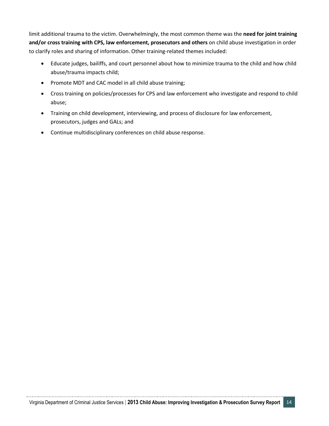limit additional trauma to the victim. Overwhelmingly, the most common theme was the **need for joint training and/or cross training with CPS, law enforcement, prosecutors and others** on child abuse investigation in order to clarify roles and sharing of information. Other training-related themes included:

- Educate judges, bailiffs, and court personnel about how to minimize trauma to the child and how child abuse/trauma impacts child;
- Promote MDT and CAC model in all child abuse training;
- Cross training on policies/processes for CPS and law enforcement who investigate and respond to child abuse;
- Training on child development, interviewing, and process of disclosure for law enforcement, prosecutors, judges and GALs; and
- Continue multidisciplinary conferences on child abuse response.